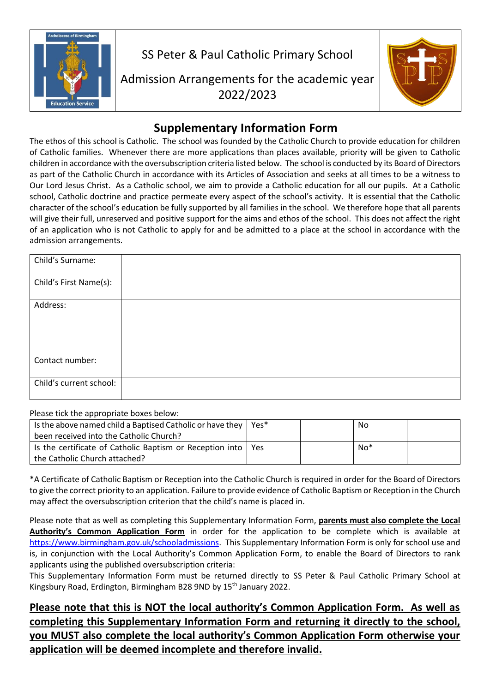

SS Peter & Paul Catholic Primary School

Admission Arrangements for the academic year 2022/2023



## **Supplementary Information Form**

The ethos of this school is Catholic. The school was founded by the Catholic Church to provide education for children of Catholic families. Whenever there are more applications than places available, priority will be given to Catholic children in accordance with the oversubscription criteria listed below. The school is conducted by its Board of Directors as part of the Catholic Church in accordance with its Articles of Association and seeks at all times to be a witness to Our Lord Jesus Christ. As a Catholic school, we aim to provide a Catholic education for all our pupils. At a Catholic school, Catholic doctrine and practice permeate every aspect of the school's activity. It is essential that the Catholic character of the school's education be fully supported by all families in the school. We therefore hope that all parents will give their full, unreserved and positive support for the aims and ethos of the school. This does not affect the right of an application who is not Catholic to apply for and be admitted to a place at the school in accordance with the admission arrangements.

| Child's Surname:        |  |
|-------------------------|--|
| Child's First Name(s):  |  |
| Address:                |  |
| Contact number:         |  |
| Child's current school: |  |

Please tick the appropriate boxes below:

| Is the above named child a Baptised Catholic or have they $\vert$<br>been received into the Catholic Church? | Yes*       | No    |  |
|--------------------------------------------------------------------------------------------------------------|------------|-------|--|
| Is the certificate of Catholic Baptism or Reception into                                                     | <b>Yes</b> | $No*$ |  |
| the Catholic Church attached?                                                                                |            |       |  |

\*A Certificate of Catholic Baptism or Reception into the Catholic Church is required in order for the Board of Directors to give the correct priority to an application. Failure to provide evidence of Catholic Baptism or Reception in the Church may affect the oversubscription criterion that the child's name is placed in.

Please note that as well as completing this Supplementary Information Form, **parents must also complete the Local Authority's Common Application Form** in order for the application to be complete which is available at [https://www.birmingham.gov.uk/schooladmissions.](https://www.birmingham.gov.uk/schooladmissions) This Supplementary Information Form is only for school use and is, in conjunction with the Local Authority's Common Application Form, to enable the Board of Directors to rank applicants using the published oversubscription criteria:

This Supplementary Information Form must be returned directly to SS Peter & Paul Catholic Primary School at Kingsbury Road, Erdington, Birmingham B28 9ND by 15<sup>th</sup> January 2022.

**Please note that this is NOT the local authority's Common Application Form. As well as completing this Supplementary Information Form and returning it directly to the school, you MUST also complete the local authority's Common Application Form otherwise your application will be deemed incomplete and therefore invalid.**